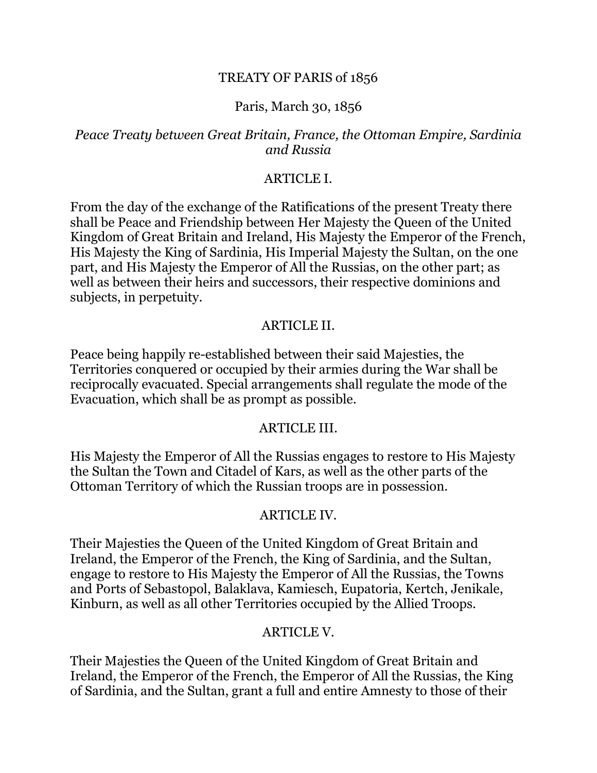#### TREATY OF PARIS of 1856

#### Paris, March 30, 1856

#### *Peace Treaty between Great Britain, France, the Ottoman Empire, Sardinia and Russia*

#### ARTICLE I.

From the day of the exchange of the Ratifications of the present Treaty there shall be Peace and Friendship between Her Majesty the Queen of the United Kingdom of Great Britain and Ireland, His Majesty the Emperor of the French, His Majesty the King of Sardinia, His Imperial Majesty the Sultan, on the one part, and His Majesty the Emperor of All the Russias, on the other part; as well as between their heirs and successors, their respective dominions and subjects, in perpetuity.

#### ARTICLE II.

Peace being happily re-established between their said Majesties, the Territories conquered or occupied by their armies during the War shall be reciprocally evacuated. Special arrangements shall regulate the mode of the Evacuation, which shall be as prompt as possible.

#### ARTICLE III.

His Majesty the Emperor of All the Russias engages to restore to His Majesty the Sultan the Town and Citadel of Kars, as well as the other parts of the Ottoman Territory of which the Russian troops are in possession.

#### ARTICLE IV.

Their Majesties the Queen of the United Kingdom of Great Britain and Ireland, the Emperor of the French, the King of Sardinia, and the Sultan, engage to restore to His Majesty the Emperor of All the Russias, the Towns and Ports of Sebastopol, Balaklava, Kamiesch, Eupatoria, Kertch, Jenikale, Kinburn, as well as all other Territories occupied by the Allied Troops.

#### ARTICLE V.

Their Majesties the Queen of the United Kingdom of Great Britain and Ireland, the Emperor of the French, the Emperor of All the Russias, the King of Sardinia, and the Sultan, grant a full and entire Amnesty to those of their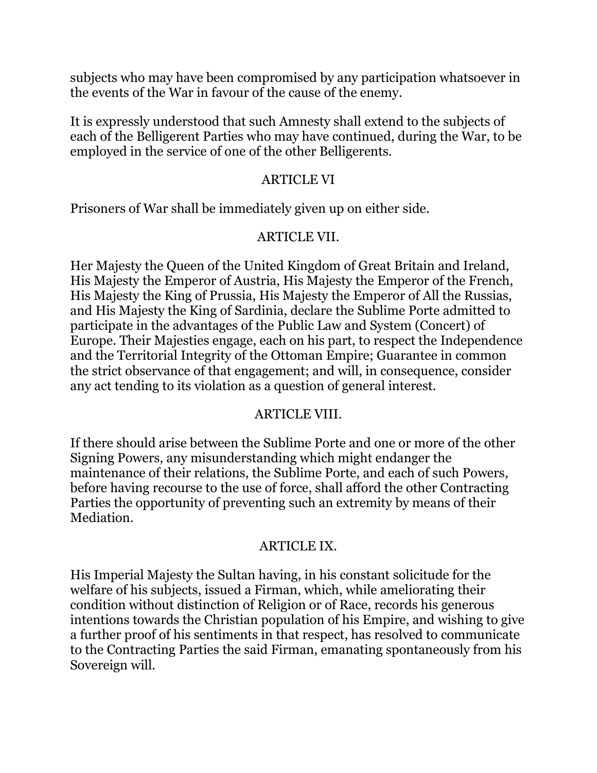subjects who may have been compromised by any participation whatsoever in the events of the War in favour of the cause of the enemy.

It is expressly understood that such Amnesty shall extend to the subjects of each of the Belligerent Parties who may have continued, during the War, to be employed in the service of one of the other Belligerents.

### ARTICLE VI

Prisoners of War shall be immediately given up on either side.

## ARTICLE VII.

Her Majesty the Queen of the United Kingdom of Great Britain and Ireland, His Majesty the Emperor of Austria, His Majesty the Emperor of the French, His Majesty the King of Prussia, His Majesty the Emperor of All the Russias, and His Majesty the King of Sardinia, declare the Sublime Porte admitted to participate in the advantages of the Public Law and System (Concert) of Europe. Their Majesties engage, each on his part, to respect the Independence and the Territorial Integrity of the Ottoman Empire; Guarantee in common the strict observance of that engagement; and will, in consequence, consider any act tending to its violation as a question of general interest.

## ARTICLE VIII.

If there should arise between the Sublime Porte and one or more of the other Signing Powers, any misunderstanding which might endanger the maintenance of their relations, the Sublime Porte, and each of such Powers, before having recourse to the use of force, shall afford the other Contracting Parties the opportunity of preventing such an extremity by means of their Mediation.

# ARTICLE IX.

His Imperial Majesty the Sultan having, in his constant solicitude for the welfare of his subjects, issued a Firman, which, while ameliorating their condition without distinction of Religion or of Race, records his generous intentions towards the Christian population of his Empire, and wishing to give a further proof of his sentiments in that respect, has resolved to communicate to the Contracting Parties the said Firman, emanating spontaneously from his Sovereign will.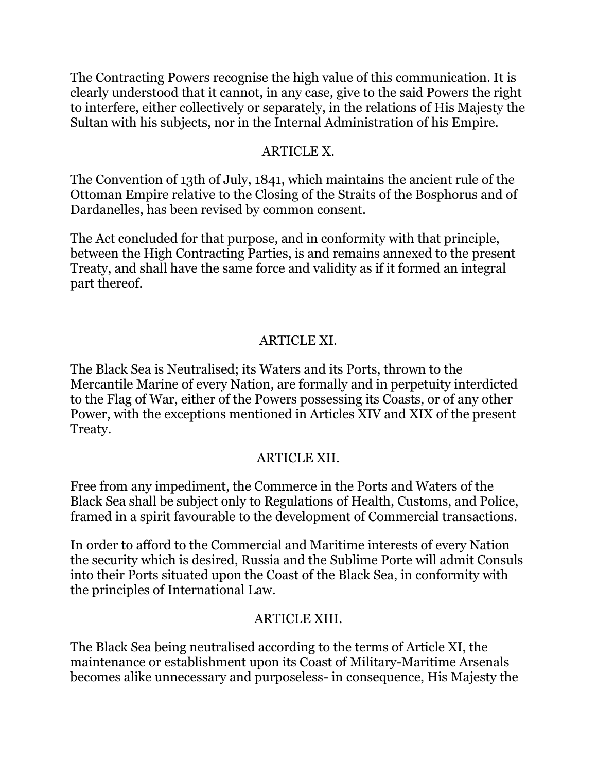The Contracting Powers recognise the high value of this communication. It is clearly understood that it cannot, in any case, give to the said Powers the right to interfere, either collectively or separately, in the relations of His Majesty the Sultan with his subjects, nor in the Internal Administration of his Empire.

## ARTICLE X.

The Convention of 13th of July, 1841, which maintains the ancient rule of the Ottoman Empire relative to the Closing of the Straits of the Bosphorus and of Dardanelles, has been revised by common consent.

The Act concluded for that purpose, and in conformity with that principle, between the High Contracting Parties, is and remains annexed to the present Treaty, and shall have the same force and validity as if it formed an integral part thereof.

## ARTICLE XI.

The Black Sea is Neutralised; its Waters and its Ports, thrown to the Mercantile Marine of every Nation, are formally and in perpetuity interdicted to the Flag of War, either of the Powers possessing its Coasts, or of any other Power, with the exceptions mentioned in Articles XIV and XIX of the present Treaty.

## ARTICLE XII.

Free from any impediment, the Commerce in the Ports and Waters of the Black Sea shall be subject only to Regulations of Health, Customs, and Police, framed in a spirit favourable to the development of Commercial transactions.

In order to afford to the Commercial and Maritime interests of every Nation the security which is desired, Russia and the Sublime Porte will admit Consuls into their Ports situated upon the Coast of the Black Sea, in conformity with the principles of International Law.

## ARTICLE XIII.

The Black Sea being neutralised according to the terms of Article XI, the maintenance or establishment upon its Coast of Military-Maritime Arsenals becomes alike unnecessary and purposeless- in consequence, His Majesty the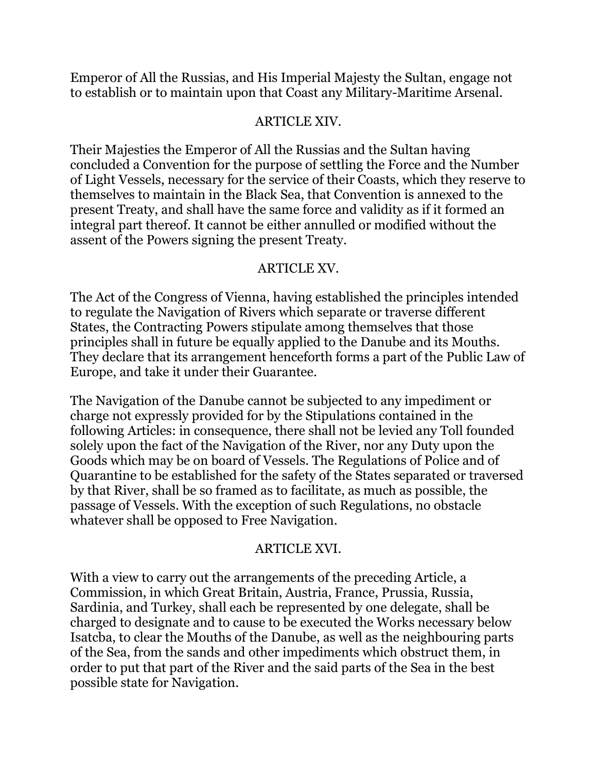Emperor of All the Russias, and His Imperial Majesty the Sultan, engage not to establish or to maintain upon that Coast any Military-Maritime Arsenal.

### ARTICLE XIV.

Their Majesties the Emperor of All the Russias and the Sultan having concluded a Convention for the purpose of settling the Force and the Number of Light Vessels, necessary for the service of their Coasts, which they reserve to themselves to maintain in the Black Sea, that Convention is annexed to the present Treaty, and shall have the same force and validity as if it formed an integral part thereof. It cannot be either annulled or modified without the assent of the Powers signing the present Treaty.

### ARTICLE XV.

The Act of the Congress of Vienna, having established the principles intended to regulate the Navigation of Rivers which separate or traverse different States, the Contracting Powers stipulate among themselves that those principles shall in future be equally applied to the Danube and its Mouths. They declare that its arrangement henceforth forms a part of the Public Law of Europe, and take it under their Guarantee.

The Navigation of the Danube cannot be subjected to any impediment or charge not expressly provided for by the Stipulations contained in the following Articles: in consequence, there shall not be levied any Toll founded solely upon the fact of the Navigation of the River, nor any Duty upon the Goods which may be on board of Vessels. The Regulations of Police and of Quarantine to be established for the safety of the States separated or traversed by that River, shall be so framed as to facilitate, as much as possible, the passage of Vessels. With the exception of such Regulations, no obstacle whatever shall be opposed to Free Navigation.

### ARTICLE XVI.

With a view to carry out the arrangements of the preceding Article, a Commission, in which Great Britain, Austria, France, Prussia, Russia, Sardinia, and Turkey, shall each be represented by one delegate, shall be charged to designate and to cause to be executed the Works necessary below Isatcba, to clear the Mouths of the Danube, as well as the neighbouring parts of the Sea, from the sands and other impediments which obstruct them, in order to put that part of the River and the said parts of the Sea in the best possible state for Navigation.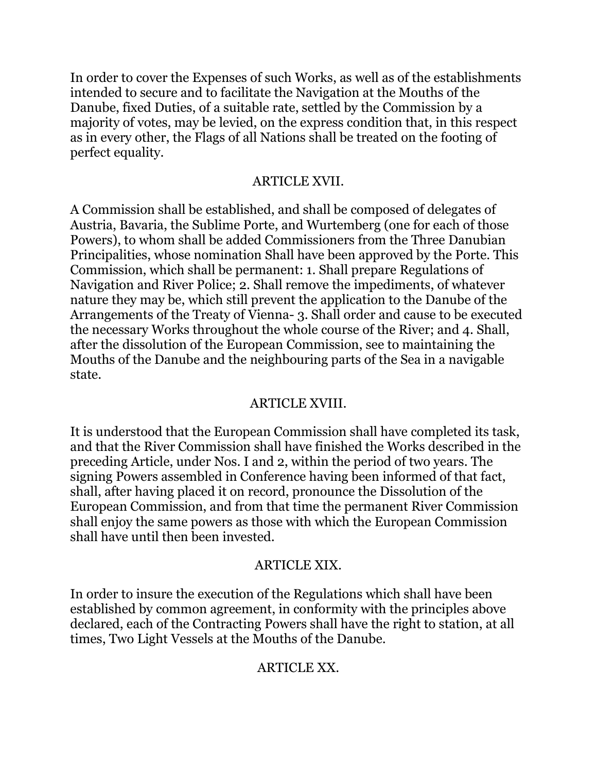In order to cover the Expenses of such Works, as well as of the establishments intended to secure and to facilitate the Navigation at the Mouths of the Danube, fixed Duties, of a suitable rate, settled by the Commission by a majority of votes, may be levied, on the express condition that, in this respect as in every other, the Flags of all Nations shall be treated on the footing of perfect equality.

## ARTICLE XVII.

A Commission shall be established, and shall be composed of delegates of Austria, Bavaria, the Sublime Porte, and Wurtemberg (one for each of those Powers), to whom shall be added Commissioners from the Three Danubian Principalities, whose nomination Shall have been approved by the Porte. This Commission, which shall be permanent: 1. Shall prepare Regulations of Navigation and River Police; 2. Shall remove the impediments, of whatever nature they may be, which still prevent the application to the Danube of the Arrangements of the Treaty of Vienna- 3. Shall order and cause to be executed the necessary Works throughout the whole course of the River; and 4. Shall, after the dissolution of the European Commission, see to maintaining the Mouths of the Danube and the neighbouring parts of the Sea in a navigable state.

### ARTICLE XVIII.

It is understood that the European Commission shall have completed its task, and that the River Commission shall have finished the Works described in the preceding Article, under Nos. I and 2, within the period of two years. The signing Powers assembled in Conference having been informed of that fact, shall, after having placed it on record, pronounce the Dissolution of the European Commission, and from that time the permanent River Commission shall enjoy the same powers as those with which the European Commission shall have until then been invested.

### ARTICLE XIX.

In order to insure the execution of the Regulations which shall have been established by common agreement, in conformity with the principles above declared, each of the Contracting Powers shall have the right to station, at all times, Two Light Vessels at the Mouths of the Danube.

### ARTICLE XX.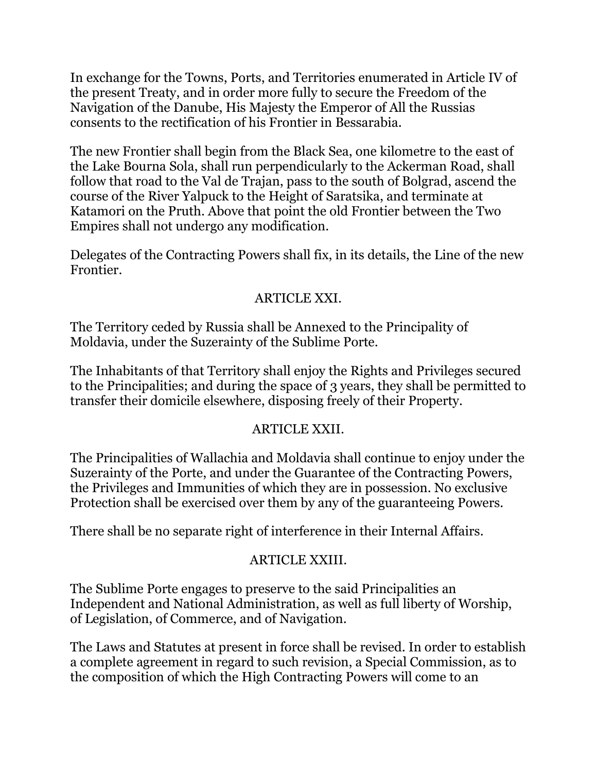In exchange for the Towns, Ports, and Territories enumerated in Article IV of the present Treaty, and in order more fully to secure the Freedom of the Navigation of the Danube, His Majesty the Emperor of All the Russias consents to the rectification of his Frontier in Bessarabia.

The new Frontier shall begin from the Black Sea, one kilometre to the east of the Lake Bourna Sola, shall run perpendicularly to the Ackerman Road, shall follow that road to the Val de Trajan, pass to the south of Bolgrad, ascend the course of the River Yalpuck to the Height of Saratsika, and terminate at Katamori on the Pruth. Above that point the old Frontier between the Two Empires shall not undergo any modification.

Delegates of the Contracting Powers shall fix, in its details, the Line of the new Frontier.

## ARTICLE XXI.

The Territory ceded by Russia shall be Annexed to the Principality of Moldavia, under the Suzerainty of the Sublime Porte.

The Inhabitants of that Territory shall enjoy the Rights and Privileges secured to the Principalities; and during the space of 3 years, they shall be permitted to transfer their domicile elsewhere, disposing freely of their Property.

### ARTICLE XXII.

The Principalities of Wallachia and Moldavia shall continue to enjoy under the Suzerainty of the Porte, and under the Guarantee of the Contracting Powers, the Privileges and Immunities of which they are in possession. No exclusive Protection shall be exercised over them by any of the guaranteeing Powers.

There shall be no separate right of interference in their Internal Affairs.

## ARTICLE XXIII.

The Sublime Porte engages to preserve to the said Principalities an Independent and National Administration, as well as full liberty of Worship, of Legislation, of Commerce, and of Navigation.

The Laws and Statutes at present in force shall be revised. In order to establish a complete agreement in regard to such revision, a Special Commission, as to the composition of which the High Contracting Powers will come to an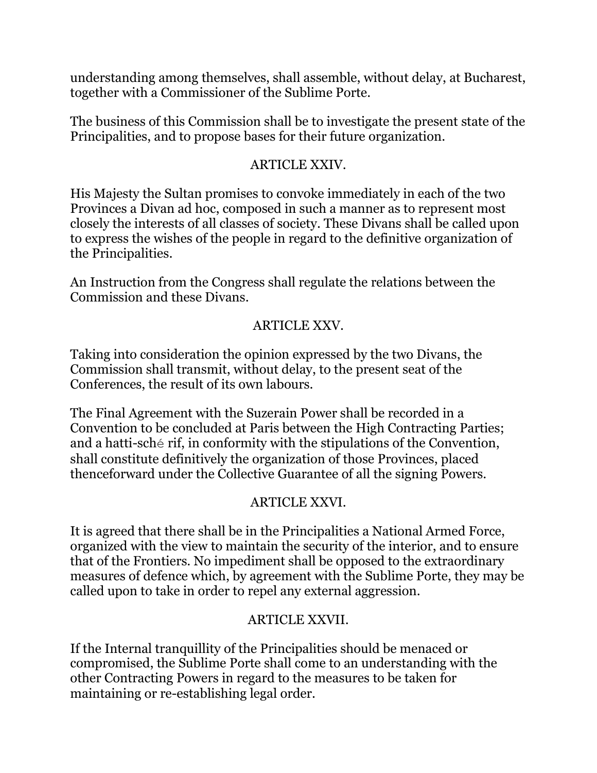understanding among themselves, shall assemble, without delay, at Bucharest, together with a Commissioner of the Sublime Porte.

The business of this Commission shall be to investigate the present state of the Principalities, and to propose bases for their future organization.

## ARTICLE XXIV.

His Majesty the Sultan promises to convoke immediately in each of the two Provinces a Divan ad hoc, composed in such a manner as to represent most closely the interests of all classes of society. These Divans shall be called upon to express the wishes of the people in regard to the definitive organization of the Principalities.

An Instruction from the Congress shall regulate the relations between the Commission and these Divans.

# ARTICLE XXV.

Taking into consideration the opinion expressed by the two Divans, the Commission shall transmit, without delay, to the present seat of the Conferences, the result of its own labours.

The Final Agreement with the Suzerain Power shall be recorded in a Convention to be concluded at Paris between the High Contracting Parties; and a hatti-sché rif, in conformity with the stipulations of the Convention, shall constitute definitively the organization of those Provinces, placed thenceforward under the Collective Guarantee of all the signing Powers.

# ARTICLE XXVI.

It is agreed that there shall be in the Principalities a National Armed Force, organized with the view to maintain the security of the interior, and to ensure that of the Frontiers. No impediment shall be opposed to the extraordinary measures of defence which, by agreement with the Sublime Porte, they may be called upon to take in order to repel any external aggression.

# ARTICLE XXVII.

If the Internal tranquillity of the Principalities should be menaced or compromised, the Sublime Porte shall come to an understanding with the other Contracting Powers in regard to the measures to be taken for maintaining or re-establishing legal order.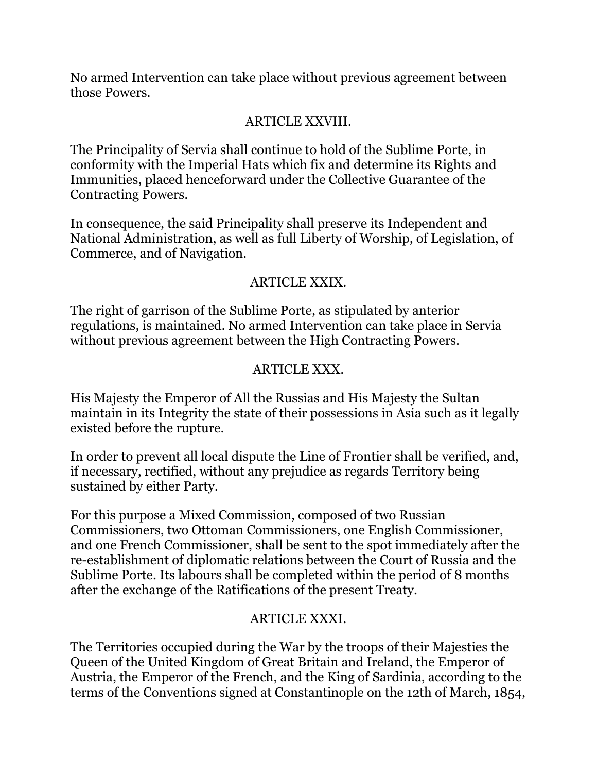No armed Intervention can take place without previous agreement between those Powers.

# ARTICLE XXVIII.

The Principality of Servia shall continue to hold of the Sublime Porte, in conformity with the Imperial Hats which fix and determine its Rights and Immunities, placed henceforward under the Collective Guarantee of the Contracting Powers.

In consequence, the said Principality shall preserve its Independent and National Administration, as well as full Liberty of Worship, of Legislation, of Commerce, and of Navigation.

## ARTICLE XXIX.

The right of garrison of the Sublime Porte, as stipulated by anterior regulations, is maintained. No armed Intervention can take place in Servia without previous agreement between the High Contracting Powers.

## ARTICLE XXX.

His Majesty the Emperor of All the Russias and His Majesty the Sultan maintain in its Integrity the state of their possessions in Asia such as it legally existed before the rupture.

In order to prevent all local dispute the Line of Frontier shall be verified, and, if necessary, rectified, without any prejudice as regards Territory being sustained by either Party.

For this purpose a Mixed Commission, composed of two Russian Commissioners, two Ottoman Commissioners, one English Commissioner, and one French Commissioner, shall be sent to the spot immediately after the re-establishment of diplomatic relations between the Court of Russia and the Sublime Porte. Its labours shall be completed within the period of 8 months after the exchange of the Ratifications of the present Treaty.

## ARTICLE XXXI.

The Territories occupied during the War by the troops of their Majesties the Queen of the United Kingdom of Great Britain and Ireland, the Emperor of Austria, the Emperor of the French, and the King of Sardinia, according to the terms of the Conventions signed at Constantinople on the 12th of March, 1854,